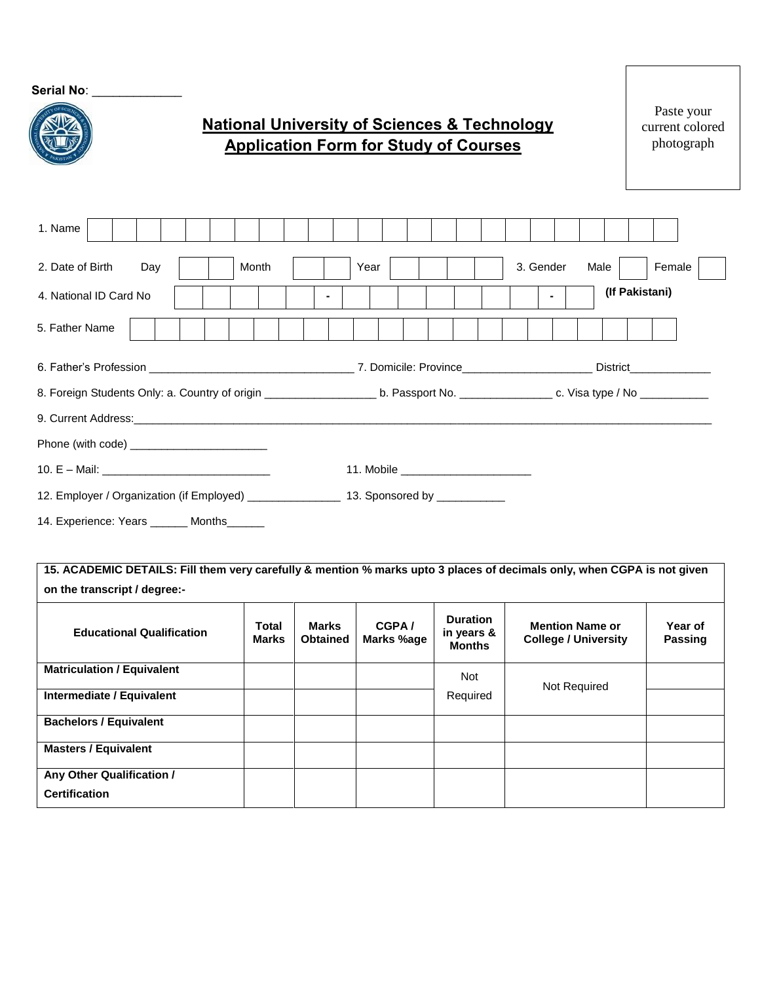**Serial No**: \_\_\_\_\_\_\_\_\_\_\_\_\_

## **National University of Sciences & Technology Application Form for Study of Courses**

Paste your current colored photograph

| 1. Name                                    |                                                                                                                                                         |
|--------------------------------------------|---------------------------------------------------------------------------------------------------------------------------------------------------------|
| 2. Date of Birth<br>Month<br>Day           | Year<br>3. Gender<br>Female<br>Male                                                                                                                     |
| 4. National ID Card No.                    | (If Pakistani)<br>$\blacksquare$                                                                                                                        |
| 5. Father Name                             |                                                                                                                                                         |
|                                            |                                                                                                                                                         |
|                                            | 8. Foreign Students Only: a. Country of origin _______________________ b. Passport No. ___________________ c. Visa type / No __________________________ |
|                                            |                                                                                                                                                         |
| Phone (with code) ________________________ |                                                                                                                                                         |
|                                            |                                                                                                                                                         |
|                                            |                                                                                                                                                         |
| 14. Experience: Years _______ Months______ |                                                                                                                                                         |
|                                            |                                                                                                                                                         |
| on the transcript / degree:-               | 15. ACADEMIC DETAILS: Fill them very carefully & mention % marks upto 3 places of decimals only, when CGPA is not given                                 |
|                                            |                                                                                                                                                         |

| <b>Educational Qualification</b>                  | Total<br><b>Marks</b> | Marks<br><b>Obtained</b> | CGPA/<br>Marks %age | <b>Duration</b><br>in years &<br><b>Months</b> | <b>Mention Name or</b><br><b>College / University</b> | Year of<br>Passing |
|---------------------------------------------------|-----------------------|--------------------------|---------------------|------------------------------------------------|-------------------------------------------------------|--------------------|
| <b>Matriculation / Equivalent</b>                 |                       |                          |                     | <b>Not</b>                                     | Not Required                                          |                    |
| Intermediate / Equivalent                         |                       |                          |                     | Required                                       |                                                       |                    |
| <b>Bachelors / Equivalent</b>                     |                       |                          |                     |                                                |                                                       |                    |
| <b>Masters / Equivalent</b>                       |                       |                          |                     |                                                |                                                       |                    |
| Any Other Qualification /<br><b>Certification</b> |                       |                          |                     |                                                |                                                       |                    |